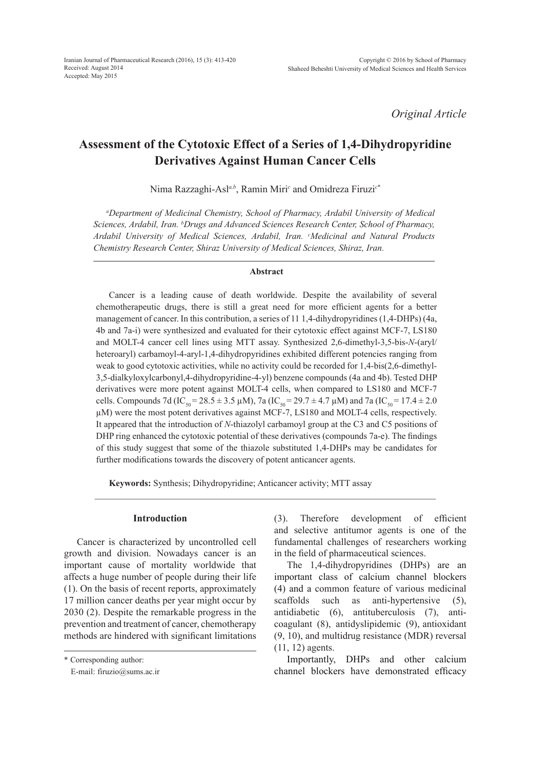*Original Article*

# **Assessment of the Cytotoxic Effect of a Series of 1,4-Dihydropyridine Derivatives Against Human Cancer Cells**

Nima Razzaghi-Asl*a,b*, Ramin Miri*<sup>c</sup>* and Omidreza Firuzi*<sup>c</sup>*\*

*a Department of Medicinal Chemistry, School of Pharmacy, Ardabil University of Medical Sciences, Ardabil, Iran. b Drugs and Advanced Sciences Research Center, School of Pharmacy, Ardabil University of Medical Sciences, Ardabil, Iran. c Medicinal and Natural Products Chemistry Research Center, Shiraz University of Medical Sciences, Shiraz, Iran.*

#### **Abstract**

Cancer is a leading cause of death worldwide. Despite the availability of several chemotherapeutic drugs, there is still a great need for more efficient agents for a better management of cancer. In this contribution, a series of 11 1,4-dihydropyridines (1,4-DHPs) (4a, 4b and 7a-i) were synthesized and evaluated for their cytotoxic effect against MCF-7, LS180 and MOLT-4 cancer cell lines using MTT assay. Synthesized 2,6-dimethyl-3,5-bis-*N*-(aryl/ heteroaryl) carbamoyl-4-aryl-1,4-dihydropyridines exhibited different potencies ranging from weak to good cytotoxic activities, while no activity could be recorded for 1,4-bis(2,6-dimethyl-3,5-dialkyloxylcarbonyl,4-dihydropyridine-4-yl) benzene compounds (4a and 4b). Tested DHP derivatives were more potent against MOLT-4 cells, when compared to LS180 and MCF-7 cells. Compounds 7d (IC<sub>50</sub> = 28.5 ± 3.5 µM), 7a (IC<sub>50</sub> = 29.7 ± 4.7 µM) and 7a (IC<sub>50</sub> = 17.4 ± 2.0 µM) were the most potent derivatives against MCF-7, LS180 and MOLT-4 cells, respectively. It appeared that the introduction of *N*-thiazolyl carbamoyl group at the C3 and C5 positions of DHP ring enhanced the cytotoxic potential of these derivatives (compounds 7a-e). The findings of this study suggest that some of the thiazole substituted 1,4-DHPs may be candidates for further modifications towards the discovery of potent anticancer agents.

**Keywords:** Synthesis; Dihydropyridine; Anticancer activity; MTT assay

#### **Introduction**

Cancer is characterized by uncontrolled cell growth and division. Nowadays cancer is an important cause of mortality worldwide that affects a huge number of people during their life (1). On the basis of recent reports, approximately 17 million cancer deaths per year might occur by 2030 (2). Despite the remarkable progress in the prevention and treatment of cancer, chemotherapy methods are hindered with significant limitations

\* Corresponding author:

(3). Therefore development of efficient and selective antitumor agents is one of the fundamental challenges of researchers working in the field of pharmaceutical sciences.

The 1,4-dihydropyridines (DHPs) are an important class of calcium channel blockers (4) and a common feature of various medicinal scaffolds such as anti-hypertensive (5), antidiabetic (6), antituberculosis (7), anticoagulant (8), antidyslipidemic (9), antioxidant (9, 10), and multidrug resistance (MDR) reversal (11, 12) agents.

Importantly, DHPs and other calcium channel blockers have demonstrated efficacy

E-mail: firuzio@sums.ac.ir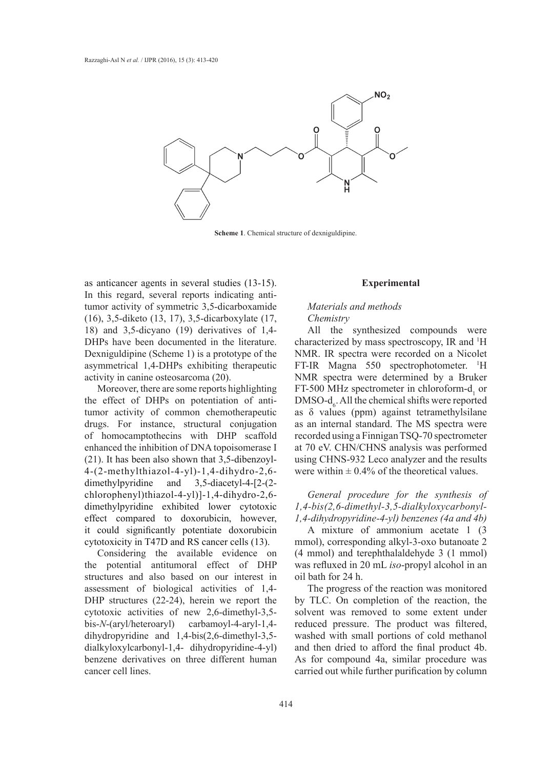

**Scheme 1**. Chemical structure of dexniguldipine.

as anticancer agents in several studies (13-15). In this regard, several reports indicating antitumor activity of symmetric 3,5-dicarboxamide (16), 3,5-diketo (13, 17), 3,5-dicarboxylate (17, 18) and 3,5-dicyano (19) derivatives of 1,4- DHPs have been documented in the literature. Dexniguldipine (Scheme 1) is a prototype of the asymmetrical 1,4-DHPs exhibiting therapeutic activity in canine osteosarcoma (20).

Moreover, there are some reports highlighting the effect of DHPs on potentiation of antitumor activity of common chemotherapeutic drugs. For instance, structural conjugation of homocamptothecins with DHP scaffold enhanced the inhibition of DNA topoisomerase I (21). It has been also shown that 3,5-dibenzoyl-4-(2-methylthiazol-4-yl)-1,4-dihydro-2,6 dimethylpyridine and 3,5-diacetyl-4-[2-(2 chlorophenyl)thiazol-4-yl)]-1,4-dihydro-2,6 dimethylpyridine exhibited lower cytotoxic effect compared to doxorubicin, however, it could significantly potentiate doxorubicin cytotoxicity in T47D and RS cancer cells (13).

Considering the available evidence on the potential antitumoral effect of DHP structures and also based on our interest in assessment of biological activities of 1,4- DHP structures (22-24), herein we report the cytotoxic activities of new 2,6-dimethyl-3,5 bis-*N*-(aryl/heteroaryl) carbamoyl-4-aryl-1,4 dihydropyridine and 1,4-bis(2,6-dimethyl-3,5 dialkyloxylcarbonyl-1,4- dihydropyridine-4-yl) benzene derivatives on three different human cancer cell lines.

#### **Experimental**

## *Materials and methods Chemistry*

All the synthesized compounds were characterized by mass spectroscopy, IR and <sup>1</sup>H NMR. IR spectra were recorded on a Nicolet FT-IR Magna 550 spectrophotometer. <sup>1</sup>H NMR spectra were determined by a Bruker FT-500 MHz spectrometer in chloroform- $d_1$  or  $DMSO-d<sub>6</sub>$ . All the chemical shifts were reported as δ values (ppm) against tetramethylsilane as an internal standard. The MS spectra were recorded using a Finnigan TSQ-70 spectrometer at 70 eV. CHN/CHNS analysis was performed using CHNS-932 Leco analyzer and the results were within  $\pm 0.4\%$  of the theoretical values.

*General procedure for the synthesis of 1,4-bis(2,6-dimethyl-3,5-dialkyloxycarbonyl-1,4-dihydropyridine-4-yl) benzenes (4a and 4b)*

A mixture of ammonium acetate 1 (3 mmol), corresponding alkyl-3-oxo butanoate 2 (4 mmol) and terephthalaldehyde 3 (1 mmol) was refluxed in 20 mL *iso*-propyl alcohol in an oil bath for 24 h.

The progress of the reaction was monitored by TLC. On completion of the reaction, the solvent was removed to some extent under reduced pressure. The product was filtered, washed with small portions of cold methanol and then dried to afford the final product 4b. As for compound 4a, similar procedure was carried out while further purification by column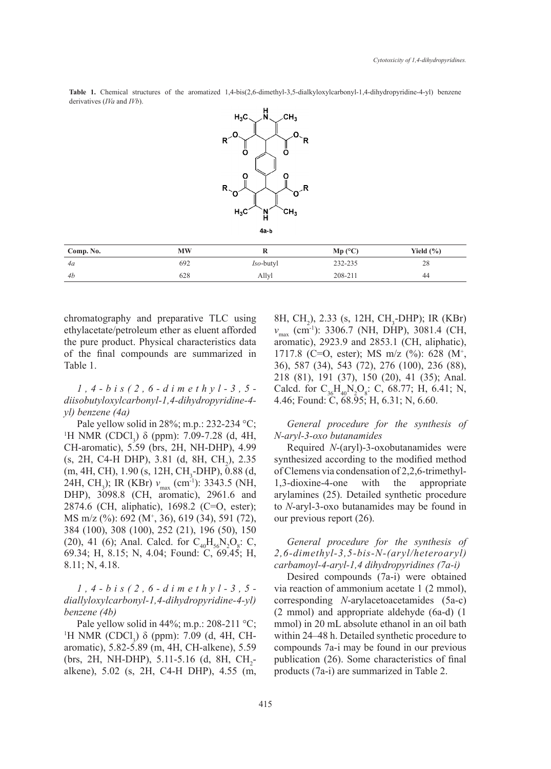**Table 1.** Chemical structures of the aromatized 1,4-bis(2,6-dimethyl-3,5-dialkyloxylcarbonyl-1,4-dihydropyridine-4-yl) benzene derivatives (*IVa* and *IVb*).



chromatography and preparative TLC using ethylacetate/petroleum ether as eluent afforded the pure product. Physical characteristics data of the final compounds are summarized in Table 1.

*1,4-bis(2,6-dimethyl-3,5 diisobutyloxylcarbonyl-1,4-dihydropyridine-4 yl) benzene (4a)*

Pale yellow solid in 28%; m.p.: 232-234 °C; <sup>1</sup>H NMR (CDCl<sub>3</sub>) δ (ppm): 7.09-7.28 (d, 4H, CH-aromatic), 5.59 (brs, 2H, NH-DHP), 4.99  $(s, 2H, C4-H DHP), 3.81$  (d, 8H, CH<sub>2</sub>), 2.35 (m, 4H, CH), 1.90 (s, 12H, CH<sub>3</sub>-DHP), 0.88 (d, 24H, CH<sub>3</sub>); IR (KBr) *ν*<sub>max</sub> (cm<sup>-1</sup>): 3343.5 (NH, DHP), 3098.8 (CH, aromatic), 2961.6 and 2874.6 (CH, aliphatic), 1698.2 (C=O, ester); MS m/z (%): 692 (M+ , 36), 619 (34), 591 (72), 384 (100), 308 (100), 252 (21), 196 (50), 150 (20), 41 (6); Anal. Calcd. for  $C_{40}H_{56}N_2O_8$ : C, 69.34; H, 8.15; N, 4.04; Found: C, 69.45; H, 8.11; N, 4.18.

*1,4-bis(2,6-dimethyl-3,5 diallyloxylcarbonyl-1,4-dihydropyridine-4-yl) benzene (4b)*

Pale yellow solid in 44%; m.p.: 208-211 °C; <sup>1</sup>H NMR (CDCl<sub>3</sub>) δ (ppm): 7.09 (d, 4H, CHaromatic), 5.82-5.89 (m, 4H, CH-alkene), 5.59 (brs, 2H, NH-DHP), 5.11-5.16 (d, 8H,  $CH_2$ alkene), 5.02 (s, 2H, C4-H DHP), 4.55 (m,

8H, CH<sub>2</sub>), 2.33 (s, 12H, CH<sub>3</sub>-DHP); IR (KBr) *ν*<sub>max</sub> (cm<sup>-1</sup>): 3306.7 (NH, DHP), 3081.4 (CH, aromatic), 2923.9 and 2853.1 (CH, aliphatic), 1717.8 (C=O, ester); MS m/z (%): 628 (M+ , 36), 587 (34), 543 (72), 276 (100), 236 (88), 218 (81), 191 (37), 150 (20), 41 (35); Anal. Calcd. for  $C_{36}H_{40}N_2O_8$ : C, 68.77; H, 6.41; N, 4.46; Found: C, 68.95; H, 6.31; N, 6.60.

*General procedure for the synthesis of N-aryl-3-oxo butanamides*

Required *N*-(aryl)-3-oxobutanamides were synthesized according to the modified method of Clemens via condensation of 2,2,6-trimethyl-1,3-dioxine-4-one with the appropriate arylamines (25). Detailed synthetic procedure to *N*-aryl-3-oxo butanamides may be found in our previous report (26).

# *General procedure for the synthesis of 2,6-dimethyl-3,5-bis-N-(aryl/heteroaryl) carbamoyl-4-aryl-1,4 dihydropyridines (7a-i)*

Desired compounds (7a-i) were obtained via reaction of ammonium acetate 1 (2 mmol), corresponding *N*-arylacetoacetamides (5a-c) (2 mmol) and appropriate aldehyde (6a-d) (1 mmol) in 20 mL absolute ethanol in an oil bath within 24–48 h. Detailed synthetic procedure to compounds 7a-i may be found in our previous publication (26). Some characteristics of final products (7a-i) are summarized in Table 2.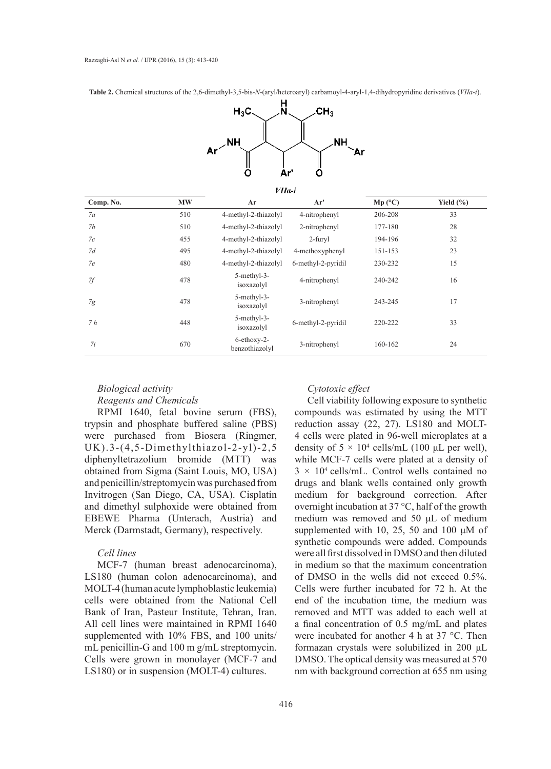**Table 2.** Chemical structures of the 2,6-dimethyl-3,5-bis-*N*-(aryl/heteroaryl) carbamoyl-4-aryl-1,4-dihydropyridine derivatives (*VIIa*-*i*).



 $VIIa$ :

| ,,,,,,,   |           |                               |                    |         |               |  |
|-----------|-----------|-------------------------------|--------------------|---------|---------------|--|
| Comp. No. | <b>MW</b> | Ar                            | Ar'                | Mp (°C) | Yield $(\% )$ |  |
| 7a        | 510       | 4-methyl-2-thiazolyl          | 4-nitrophenyl      | 206-208 | 33            |  |
| 7b        | 510       | 4-methyl-2-thiazolyl          | 2-nitrophenyl      | 177-180 | 28            |  |
| 7c        | 455       | 4-methyl-2-thiazolyl          | 2-furyl            | 194-196 | 32            |  |
| 7d        | 495       | 4-methyl-2-thiazolyl          | 4-methoxyphenyl    | 151-153 | 23            |  |
| 7e        | 480       | 4-methyl-2-thiazolyl          | 6-methyl-2-pyridil | 230-232 | 15            |  |
| 7f        | 478       | 5-methyl-3-<br>isoxazolyl     | 4-nitrophenyl      | 240-242 | 16            |  |
| 7g        | 478       | 5-methyl-3-<br>isoxazolyl     | 3-nitrophenyl      | 243-245 | 17            |  |
| 7h        | 448       | 5-methyl-3-<br>isoxazolyl     | 6-methyl-2-pyridil | 220-222 | 33            |  |
| 7i        | 670       | 6-ethoxy-2-<br>benzothiazolyl | 3-nitrophenyl      | 160-162 | 24            |  |

## *Biological activity Reagents and Chemicals*

RPMI 1640, fetal bovine serum (FBS), trypsin and phosphate buffered saline (PBS) were purchased from Biosera (Ringmer, UK).3-(4,5-Dimethylthiazol-2-yl)-2,5 diphenyltetrazolium bromide (MTT) was obtained from Sigma (Saint Louis, MO, USA) and penicillin/streptomycin was purchased from Invitrogen (San Diego, CA, USA). Cisplatin and dimethyl sulphoxide were obtained from EBEWE Pharma (Unterach, Austria) and Merck (Darmstadt, Germany), respectively.

#### *Cell lines*

MCF-7 (human breast adenocarcinoma), LS180 (human colon adenocarcinoma), and MOLT-4 (human acute lymphoblastic leukemia) cells were obtained from the National Cell Bank of Iran, Pasteur Institute, Tehran, Iran. All cell lines were maintained in RPMI 1640 supplemented with 10% FBS, and 100 units/ mL penicillin-G and 100 m g/mL streptomycin. Cells were grown in monolayer (MCF-7 and LS180) or in suspension (MOLT-4) cultures.

## *Cytotoxic effect*

Cell viability following exposure to synthetic compounds was estimated by using the MTT reduction assay (22, 27). LS180 and MOLT-4 cells were plated in 96-well microplates at a density of  $5 \times 10^4$  cells/mL (100 µL per well), while MCF-7 cells were plated at a density of  $3 \times 10^4$  cells/mL. Control wells contained no drugs and blank wells contained only growth medium for background correction. After overnight incubation at 37 °C, half of the growth medium was removed and 50 μL of medium supplemented with 10, 25, 50 and 100 μM of synthetic compounds were added. Compounds were all first dissolved in DMSO and then diluted in medium so that the maximum concentration of DMSO in the wells did not exceed 0.5%. Cells were further incubated for 72 h. At the end of the incubation time, the medium was removed and MTT was added to each well at a final concentration of 0.5 mg/mL and plates were incubated for another 4 h at 37 °C. Then formazan crystals were solubilized in 200 μL DMSO. The optical density was measured at 570 nm with background correction at 655 nm using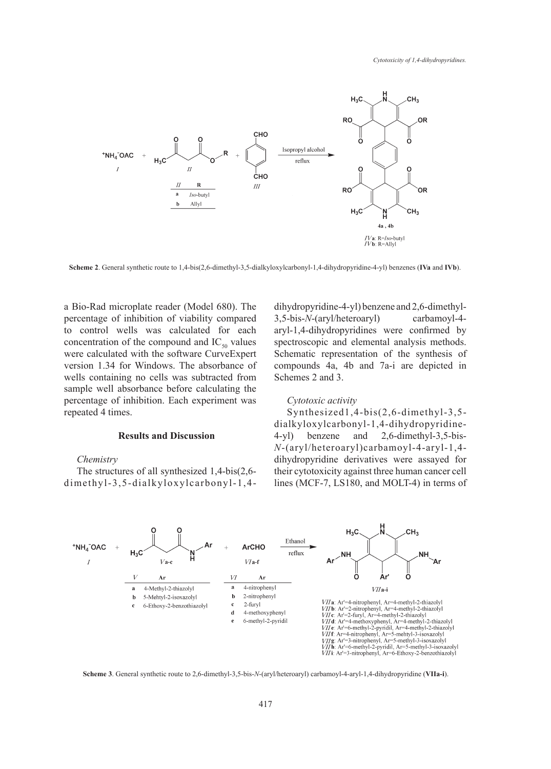

**Scheme 2**. General synthetic route to 1,4-bis(2,6-dimethyl-3,5-dialkyloxylcarbonyl-1,4-dihydropyridine-4-yl) benzenes (**IVa** and **IVb**).

a Bio-Rad microplate reader (Model 680). The percentage of inhibition of viability compared to control wells was calculated for each concentration of the compound and  $IC_{50}$  values were calculated with the software CurveExpert version 1.34 for Windows. The absorbance of wells containing no cells was subtracted from sample well absorbance before calculating the percentage of inhibition. Each experiment was repeated 4 times.

## **Results and Discussion**

*Chemistry*

The structures of all synthesized 1,4-bis(2,6 dimethyl-3,5-dialkyloxylcarbonyl-1,4dihydropyridine-4-yl) benzene and 2,6-dimethyl-3,5-bis-*N*-(aryl/heteroaryl) carbamoyl-4 aryl-1,4-dihydropyridines were confirmed by spectroscopic and elemental analysis methods. Schematic representation of the synthesis of compounds 4a, 4b and 7a-i are depicted in Schemes 2 and 3.

#### *Cytotoxic activity*

Synthesized1,4-bis(2,6-dimethyl-3,5 dialkyloxylcarbonyl-1,4-dihydropyridine-4-yl) benzene and 2,6-dimethyl-3,5-bis-*N*-(aryl/heteroaryl)carbamoyl-4-aryl-1,4 dihydropyridine derivatives were assayed for their cytotoxicity against three human cancer cell lines (MCF-7, LS180, and MOLT-4) in terms of



**Scheme 3**. General synthetic route to 2,6-dimethyl-3,5-bis-*N*-(aryl/heteroaryl) carbamoyl-4-aryl-1,4-dihydropyridine (**VIIa-i**).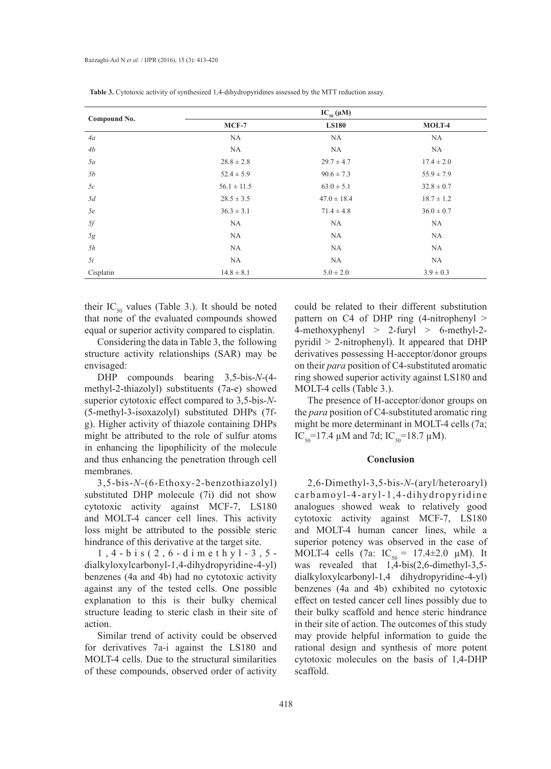| Compound No. |                 | $IC_{50}(\mu M)$ |                |
|--------------|-----------------|------------------|----------------|
|              | $MCF-7$         | <b>LS180</b>     | MOLT-4         |
| 4a           | NA              | <b>NA</b>        | NA             |
| 4b           | <b>NA</b>       | <b>NA</b>        | <b>NA</b>      |
| 5a           | $28.8 \pm 2.8$  | $29.7 \pm 4.7$   | $17.4 \pm 2.0$ |
| 5b           | $52.4 \pm 5.9$  | $90.6 \pm 7.3$   | $55.9 \pm 7.9$ |
| 5c           | $56.1 \pm 11.5$ | $63.0 \pm 5.1$   | $32.8 \pm 0.7$ |
| 5d           | $28.5 \pm 3.5$  | $47.0 \pm 18.4$  | $18.7 \pm 1.2$ |
| 5e           | $36.3 \pm 3.1$  | $71.4 \pm 4.8$   | $36.0 \pm 0.7$ |
| $5f$         | NA              | <b>NA</b>        | NA             |
| 5g           | <b>NA</b>       | <b>NA</b>        | <b>NA</b>      |
| 5h           | NA              | <b>NA</b>        | NA             |
| 5i           | NA              | NA               | <b>NA</b>      |
| Cisplatin    | $14.8 \pm 8.1$  | $5.0 \pm 2.0$    | $3.9 \pm 0.3$  |

**Table 3.** Cytotoxic activity of synthesized 1,4-dihydropyridines assessed by the MTT reduction assay.

their  $IC_{50}$  values (Table 3.). It should be noted that none of the evaluated compounds showed equal or superior activity compared to cisplatin.

Considering the data in Table 3, the following structure activity relationships (SAR) may be envisaged:

DHP compounds bearing 3,5-bis-*N*-(4 methyl-2-thiazolyl) substituents (7a-e) showed superior cytotoxic effect compared to 3,5-bis-*N*- (5-methyl-3-isoxazolyl) substituted DHPs (7fg). Higher activity of thiazole containing DHPs might be attributed to the role of sulfur atoms in enhancing the lipophilicity of the molecule and thus enhancing the penetration through cell membranes.

3,5-bis-*N*-(6-Ethoxy-2-benzothiazolyl) substituted DHP molecule (7i) did not show cytotoxic activity against MCF-7, LS180 and MOLT-4 cancer cell lines. This activity loss might be attributed to the possible steric hindrance of this derivative at the target site.

1,4-bis(2,6-dimethyl-3,5 dialkyloxylcarbonyl-1,4-dihydropyridine-4-yl) benzenes (4a and 4b) had no cytotoxic activity against any of the tested cells. One possible explanation to this is their bulky chemical structure leading to steric clash in their site of action.

Similar trend of activity could be observed for derivatives 7a-i against the LS180 and MOLT-4 cells. Due to the structural similarities of these compounds, observed order of activity

could be related to their different substitution pattern on C4 of DHP ring (4-nitrophenyl > 4-methoxyphenyl  $> 2$ -furyl  $> 6$ -methyl-2pyridil > 2-nitrophenyl). It appeared that DHP derivatives possessing H-acceptor/donor groups on their *para* position of C4-substituted aromatic ring showed superior activity against LS180 and MOLT-4 cells (Table 3.).

The presence of H-acceptor/donor groups on the *para* position of C4-substituted aromatic ring might be more determinant in MOLT-4 cells (7a; IC<sub>50</sub>=17.4 µM and 7d; IC<sub>50</sub>=18.7 µM).

#### **Conclusion**

2,6-Dimethyl-3,5-bis-*N*-(aryl/heteroaryl) carbamoyl-4-aryl-1,4-dihydropyridine analogues showed weak to relatively good cytotoxic activity against MCF-7, LS180 and MOLT-4 human cancer lines, while a superior potency was observed in the case of MOLT-4 cells (7a:  $IC_{50} = 17.4 \pm 2.0 \mu M$ ). It was revealed that 1,4-bis(2,6-dimethyl-3,5 dialkyloxylcarbonyl-1,4 dihydropyridine-4-yl) benzenes (4a and 4b) exhibited no cytotoxic effect on tested cancer cell lines possibly due to their bulky scaffold and hence steric hindrance in their site of action. The outcomes of this study may provide helpful information to guide the rational design and synthesis of more potent cytotoxic molecules on the basis of 1,4-DHP scaffold.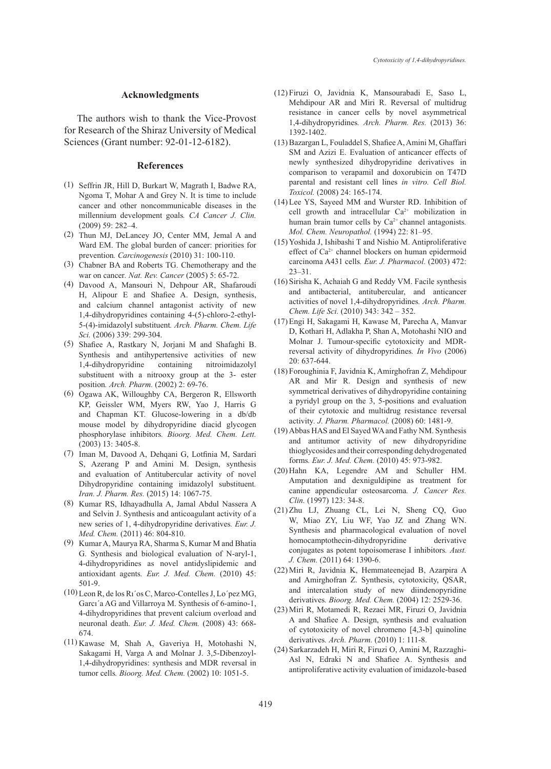#### **Acknowledgments**

The authors wish to thank the Vice-Provost for Research of the Shiraz University of Medical Sciences (Grant number: 92-01-12-6182).

#### **References**

- (1) Seffrin JR, Hill D, Burkart W, Magrath I, Badwe RA, Ngoma T, Mohar A and Grey N. It is time to include cancer and other noncommunicable diseases in the millennium development goals*. CA Cancer J. Clin.* (2009) 59: 282–4.
- (2) Thun MJ, DeLancey JO, Center MM, Jemal A and Ward EM. The global burden of cancer: priorities for prevention*. Carcinogenesis* (2010) 31: 100-110.
- Chabner BA and Roberts TG. Chemotherapy and the (3) war on cancer*. Nat. Rev. Cancer* (2005) 5: 65-72.
- Davood A, Mansouri N, Dehpour AR, Shafaroudi (4) H, Alipour E and Shafiee A. Design, synthesis, and calcium channel antagonist activity of new 1,4-dihydropyridines containing 4-(5)-chloro-2-ethyl-5-(4)-imidazolyl substituent*. Arch. Pharm. Chem. Life Sci.* (2006) 339: 299-304.
- Shafiee A, Rastkary N, Jorjani M and Shafaghi B. (5) Synthesis and antihypertensive activities of new 1,4-dihydropyridine containing nitroimidazolyl substituent with a nitrooxy group at the 3- ester position*. Arch. Pharm.* (2002) 2: 69-76.
- (6) Ogawa AK, Willoughby CA, Bergeron R, Ellsworth KP, Geissler WM, Myers RW, Yao J, Harris G and Chapman KT. Glucose-lowering in a db/db mouse model by dihydropyridine diacid glycogen phosphorylase inhibitors*. Bioorg. Med. Chem. Lett.* (2003) 13: 3405-8.
- (7) Iman M, Davood A, Dehqani G, Lotfinia M, Sardari S, Azerang P and Amini M. Design, synthesis and evaluation of Antitubercular activity of novel Dihydropyridine containing imidazolyl substituent*. Iran. J. Pharm. Res.* (2015) 14: 1067-75.
- Kumar RS, Idhayadhulla A, Jamal Abdul Nassera A (8) and Selvin J. Synthesis and anticoagulant activity of a new series of 1, 4-dihydropyridine derivatives*. Eur. J. Med. Chem.* (2011) 46: 804-810.
- Kumar A, Maurya RA, Sharma S, Kumar M and Bhatia (9) G. Synthesis and biological evaluation of N-aryl-1, 4-dihydropyridines as novel antidyslipidemic and antioxidant agents*. Eur. J. Med. Chem.* (2010) 45: 501-9.
- Leon R, de los Rı´os C, Marco-Contelles J, Lo´pez MG, (10) Garcı´a AG and Villarroya M. Synthesis of 6-amino-1, 4-dihydropyridines that prevent calcium overload and neuronal death. *Eur. J. Med. Chem.* (2008) 43: 668- 674.
- (11) Kawase M, Shah A, Gaveriya H, Motohashi N, Sakagami H, Varga A and Molnar J. 3,5-Dibenzoyl-1,4-dihydropyridines: synthesis and MDR reversal in tumor cells*. Bioorg. Med. Chem.* (2002) 10: 1051-5.
- Firuzi O, Javidnia K, Mansourabadi E, Saso L, (12) Mehdipour AR and Miri R. Reversal of multidrug resistance in cancer cells by novel asymmetrical 1,4-dihydropyridines*. Arch. Pharm. Res.* (2013) 36: 1392-1402.
- Bazargan L, Fouladdel S, Shafiee A, Amini M, Ghaffari (13) SM and Azizi E. Evaluation of anticancer effects of newly synthesized dihydropyridine derivatives in comparison to verapamil and doxorubicin on T47D parental and resistant cell lines *in vitro. Cell Biol. Toxicol.* (2008) 24: 165-174.
- (14) Lee YS, Sayeed MM and Wurster RD. Inhibition of cell growth and intracellular  $Ca^{2+}$  mobilization in human brain tumor cells by Ca<sup>2+</sup> channel antagonists. *Mol. Chem. Neuropathol.* (1994) 22: 81–95.
- $(15)$  Yoshida J, Ishibashi T and Nishio M. Antiproliferative effect of Ca2+ channel blockers on human epidermoid carcinoma A431 cells*. Eur. J. Pharmacol.* (2003) 472: 23–31.
- $(16)$  Sirisha K, Achaiah G and Reddy VM. Facile synthesis and antibacterial, antitubercular, and anticancer activities of novel 1,4-dihydropyridines*. Arch. Pharm. Chem. Life Sci.* (2010) 343: 342 – 352.
- Engi H, Sakagami H, Kawase M, Parecha A, Manvar (17) D, Kothari H, Adlakha P, Shan A, Motohashi NIO and Molnar J. Tumour-specific cytotoxicity and MDRreversal activity of dihydropyridines*. In Vivo* (2006) 20: 637-644.
- Foroughinia F, Javidnia K, Amirghofran Z, Mehdipour (18) AR and Mir R. Design and synthesis of new symmetrical derivatives of dihydropyridine containing a pyridyl group on the 3, 5-positions and evaluation of their cytotoxic and multidrug resistance reversal activity*. J. Pharm. Pharmacol.* (2008) 60: 1481-9.
- Abbas HAS and El Sayed WA and Fathy NM. Synthesis (19) and antitumor activity of new dihydropyridine thioglycosides and their corresponding dehydrogenated forms*. Eur. J. Med. Chem.* (2010) 45: 973-982.
- $(20)$  Hahn KA, Legendre AM and Schuller HM. Amputation and dexniguldipine as treatment for canine appendicular osteosarcoma*. J. Cancer Res. Clin.* (1997) 123: 34-8.
- (21) Zhu LJ, Zhuang CL, Lei N, Sheng CQ, Guo W, Miao ZY, Liu WF, Yao JZ and Zhang WN. Synthesis and pharmacological evaluation of novel homocamptothecin-dihydropyridine derivative conjugates as potent topoisomerase I inhibitors*. Aust. J. Chem.* (2011) 64: 1390-6.
- (22) Miri R, Javidnia K, Hemmateenejad B, Azarpira A and Amirghofran Z. Synthesis, cytotoxicity, QSAR, and intercalation study of new diindenopyridine derivatives*. Bioorg. Med. Chem.* (2004) 12: 2529-36.
- (23) Miri R, Motamedi R, Rezaei MR, Firuzi O, Javidnia A and Shafiee A. Design, synthesis and evaluation of cytotoxicity of novel chromeno [4,3-b] quinoline derivatives*. Arch. Pharm.* (2010) 1: 111-8.
- (24) Sarkarzadeh H, Miri R, Firuzi O, Amini M, Razzaghi-Asl N, Edraki N and Shafiee A. Synthesis and antiproliferative activity evaluation of imidazole-based